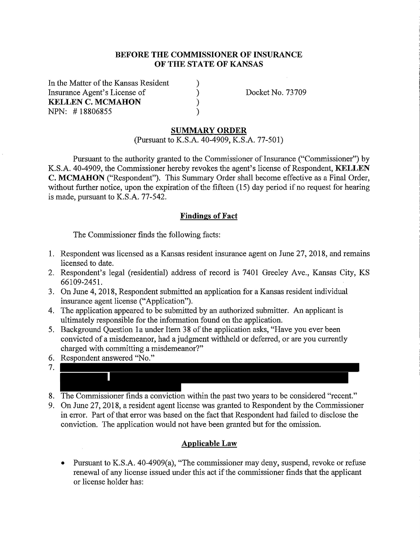### **BEFORE THE COMMISSIONER OF INSURANCE OF THE STATE OF KANSAS**

) ) ) )

In the Matter of the Kansas Resident Insurance Agent's License of **KELLEN C. MCMAHON**  NPN: # 18806855

Docket No. 73709

### **SUMMARY ORDER**

(Pursuant to K.S.A. 40-4909, K.S.A. 77-501)

Pursuant to the authority granted to the Commissioner of Insurance ("Commissioner") by K.S.A. 40-4909, the Commissioner hereby revokes the agent's license of Respondent, **KELLEN C. MCMAHON** ("Respondent"). This Summary Order shall become effective as a Final Order, without further notice, upon the expiration of the fifteen  $(15)$  day period if no request for hearing is made, pursuant to K.S.A. 77-542.

#### **Findings of Fact**

The Commissioner finds the following facts:

- 1. Respondent was licensed as a Kansas resident insurance agent on June 27, 2018, and remains licensed to date.
- 2. Respondent's legal (residential) address of record is 7401 Greeley Ave., Kansas City, KS 66109-2451.
- 3. On June 4, 2018, Respondent submitted an application for a Kansas resident individual insurance agent license ("Application").
- 4. The application appeared to be submitted by an authorized submitter. An applicant is ultimately responsible for the information found on the application.
- 5. Background Question la under Item 38 of the application asks, "Have you ever been convicted of a misdemeanor, had a judgment withheld or deferred, or are you currently charged with committing a misdemeanor?"
- 6. Respondent answered "No."



- 8. The Commissioner finds a conviction within the past two years to be considered "recent."
- 9. On June 27, 2018, a resident agent license was granted to Respondent by the Commissioner in error. Part of that error was based on the fact that Respondent had failed to disclose the conviction. The application would not have been granted but for the omission.

### **Applicable Law**

• Pursuant to K.S.A. 40-4909(a), "The commissioner may deny, suspend, revoke or refuse renewal of any license issued under this act if the commissioner finds that the applicant or license holder has: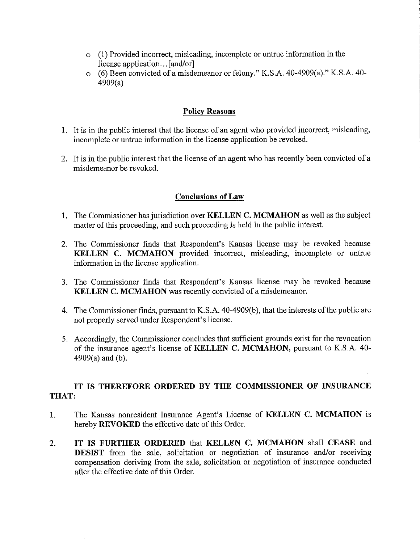- o (1) Provided incorrect, misleading, incomplete or untrue information in the license application... [and/or]
- o (6) Been convicted of a misdemeanor or felony." K.S.A. 40-4909(a)." K.S.A. 40- 4909(a)

## **Policy Reasons**

- 1. It is in the public interest that the license of an agent who provided incorrect, misleading, incomplete or untrue information in the license application be revoked.
- 2. It is in the public interest that the license of an agent who has recently been convicted of a misdemeanor be revoked.

# **Conclusions of Law**

- 1. The Commissioner has jurisdiction over **KELLEN C. MCMAHON** as well as the subject matter of this proceeding, and such proceeding is held in the public interest.
- 2. The Commissioner finds that Respondent's Kansas license may be revoked because **KELLEN C. MCMAHON** provided incorrect, misleading, incomplete or untrue information in the license application.
- 3. The Commissioner finds that Respondent's Kansas license may be revoked because **KELLEN C. MCMAHON** was recently convicted of a misdemeanor.
- 4. The Commissioner finds, pursuant to K.S.A. 40-4909(b ), that the interests of the public are not properly served under Respondent's license.
- 5. Accordingly, the Commissioner concludes that sufficient grounds exist for the revocation of the insurance agent's license of **KELLEN C. MCMAHON,** pursuant to K.S.A. 40- 4909(a) and (b).

# **IT IS THEREFORE ORDERED BY THE COMMISSIONER OF INSURANCE THAT:**

- 1. The Kansas nomesident Insurance Agent's License of **KELLEN C. MCMAHON** is hereby **REVOKED** the effective date of this Order.
- 2. **IT IS FURTHER ORDERED** that **KELLEN C. MCMAHON** shall **CEASE** and **DESIST** from the sale, solicitation or negotiation of insurance and/or receiving compensation deriving from the sale, solicitation or negotiation of insurance conducted after the effective date of this Order.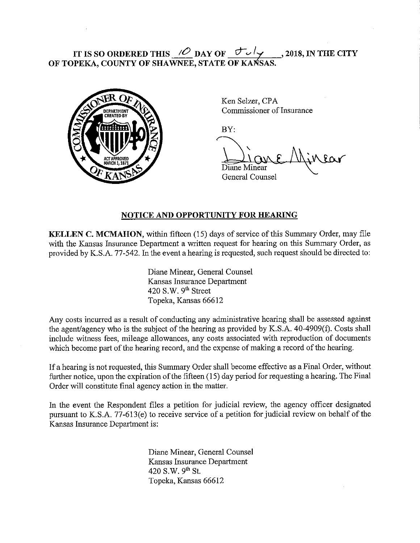# **IT IS SO ORDERED THIS**  $\angle O$  **DAY OF**  $\angle O$  **y** , 2018, IN THE CITY **OF TOPEKA, COUNTY OF SHAWNEE, STATE OF KANSAS.**



Ken Selzer, CPA Commissioner of Insurance

BY:

General Counsel

## **NOTICE AND OPPORTUNITY FOR HEARING**

**KELLEN C. MCMAHON,** within fifteen (15) days of service of this Summary Order, may file with the Kansas Insurance Department a written request for hearing on this Summary Order, as provided by K.S.A. 77-542. In the event a hearing is requested, such request should be directed to:

> Diane Minear, General Counsel Kansas Insurance Department 420 S.W.  $9<sup>th</sup>$  Street Topeka, Kansas 66612

Any costs incurred as a result of conducting any administrative hearing shall be assessed against the agent/agency who is the subject of the hearing as provided by K.S.A. 40-4909(f). Costs shall include witness fees, mileage allowances, any costs associated with reproduction of documents which become part of the hearing record, and the expense of making a record of the hearing.

If a hearing is not requested, this Summary Order shall become effective as a Final Order, without further notice, upon the expiration of the fifteen (15) day period for requesting a hearing. The Final Order will constitute final agency action in the matter.

In the event the Respondent files a petition for judicial review, the agency officer designated pursuant to K.S.A. 77-613(e) to receive service of a petition for judicial review on behalf of the Kansas Insurance Department is:

> Diane Minear, General Counsel Kansas Insurance Department 420 S.W. 9<sup>th</sup> St. Topeka, Kansas 66612